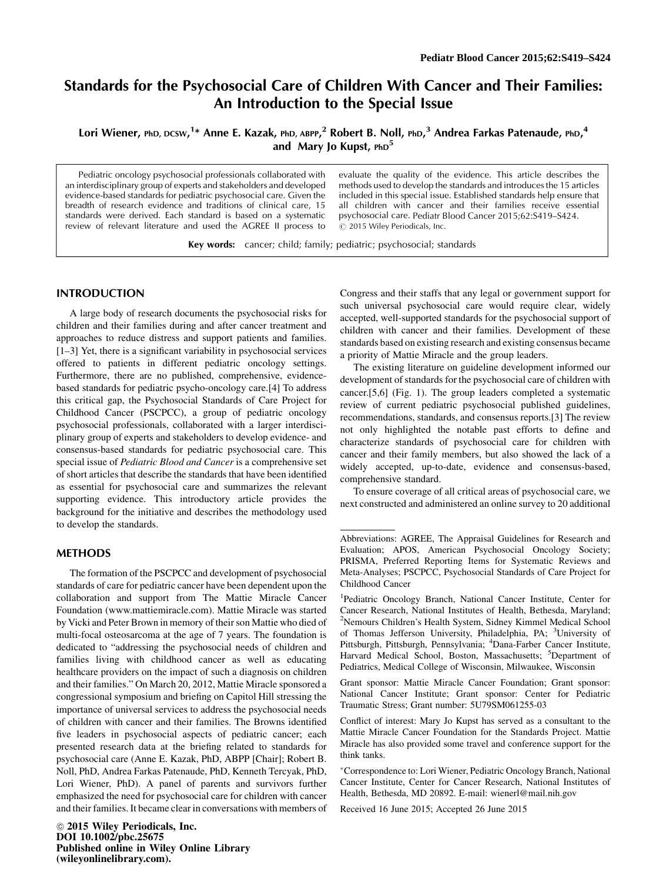# Standards for the Psychosocial Care of Children With Cancer and Their Families: An Introduction to the Special Issue

Lori Wiener, <code>phD,</code> <code>DCSW, $^{1*}$ </code> Anne E. Kazak, <code>phD,</code> <code>ABPP, $^{2}$ </code> Robert B. Noll, <code>phD, $^{3}$ </code> Andrea Farkas Patenaude, <code>phD, $^{4}$ </code> and Mary Jo Kupst,  $PhD<sup>5</sup>$ 

Pediatric oncology psychosocial professionals collaborated with an interdisciplinary group of experts and stakeholders and developed evidence-based standards for pediatric psychosocial care. Given the breadth of research evidence and traditions of clinical care, 15 standards were derived. Each standard is based on a systematic review of relevant literature and used the AGREE II process to evaluate the quality of the evidence. This article describes the methods used to develop the standards and introduces the 15 articles included in this special issue. Established standards help ensure that all children with cancer and their families receive essential psychosocial care. Pediatr Blood Cancer 2015;62:S419–S424. $\odot$  2015 Wiley Periodicals, Inc.

Key words: cancer; child; family; pediatric; psychosocial; standards

## INTRODUCTION

A large body of research documents the psychosocial risks for children and their families during and after cancer treatment and approaches to reduce distress and support patients and families. [1–3] Yet, there is a significant variability in psychosocial services offered to patients in different pediatric oncology settings. Furthermore, there are no published, comprehensive, evidencebased standards for pediatric psycho-oncology care.[4] To address this critical gap, the Psychosocial Standards of Care Project for Childhood Cancer (PSCPCC), a group of pediatric oncology psychosocial professionals, collaborated with a larger interdisciplinary group of experts and stakeholders to develop evidence- and consensus-based standards for pediatric psychosocial care. This special issue of Pediatric Blood and Cancer is a comprehensive set of short articles that describe the standards that have been identified as essential for psychosocial care and summarizes the relevant supporting evidence. This introductory article provides the background for the initiative and describes the methodology used to develop the standards.

# **METHODS**

The formation of the PSCPCC and development of psychosocial standards of care for pediatric cancer have been dependent upon the collaboration and support from The Mattie Miracle Cancer Foundation (www.mattiemiracle.com). Mattie Miracle was started by Vicki and Peter Brown in memory of their son Mattie who died of multi-focal osteosarcoma at the age of 7 years. The foundation is dedicated to "addressing the psychosocial needs of children and families living with childhood cancer as well as educating healthcare providers on the impact of such a diagnosis on children and their families." On March 20, 2012, Mattie Miracle sponsored a congressional symposium and briefing on Capitol Hill stressing the importance of universal services to address the psychosocial needs of children with cancer and their families. The Browns identified five leaders in psychosocial aspects of pediatric cancer; each presented research data at the briefing related to standards for psychosocial care (Anne E. Kazak, PhD, ABPP [Chair]; Robert B. Noll, PhD, Andrea Farkas Patenaude, PhD, Kenneth Tercyak, PhD, Lori Wiener, PhD). A panel of parents and survivors further emphasized the need for psychosocial care for children with cancer and their families. It became clear in conversations with members of

© 2015 Wiley Periodicals, Inc. DOI 10.1002/pbc.25675 Published online in Wiley Online Library (wileyonlinelibrary.com).

Congress and their staffs that any legal or government support for such universal psychosocial care would require clear, widely accepted, well-supported standards for the psychosocial support of children with cancer and their families. Development of these standards based on existing research and existing consensus became a priority of Mattie Miracle and the group leaders.

The existing literature on guideline development informed our development of standards for the psychosocial care of children with cancer.[5,6] (Fig. 1). The group leaders completed a systematic review of current pediatric psychosocial published guidelines, recommendations, standards, and consensus reports.[3] The review not only highlighted the notable past efforts to define and characterize standards of psychosocial care for children with cancer and their family members, but also showed the lack of a widely accepted, up-to-date, evidence and consensus-based, comprehensive standard.

To ensure coverage of all critical areas of psychosocial care, we next constructed and administered an online survey to 20 additional

Grant sponsor: Mattie Miracle Cancer Foundation; Grant sponsor: National Cancer Institute; Grant sponsor: Center for Pediatric Traumatic Stress; Grant number: 5U79SM061255-03

Conflict of interest: Mary Jo Kupst has served as a consultant to the Mattie Miracle Cancer Foundation for the Standards Project. Mattie Miracle has also provided some travel and conference support for the think tanks.

Correspondence to: Lori Wiener, Pediatric Oncology Branch, National Cancer Institute, Center for Cancer Research, National Institutes of Health, Bethesda, MD 20892. E-mail: wienerl@mail.nih.gov

Received 16 June 2015; Accepted 26 June 2015

Abbreviations: AGREE, The Appraisal Guidelines for Research and Evaluation; APOS, American Psychosocial Oncology Society; PRISMA, Preferred Reporting Items for Systematic Reviews and Meta-Analyses; PSCPCC, Psychosocial Standards of Care Project for Childhood Cancer

<sup>1</sup> Pediatric Oncology Branch, National Cancer Institute, Center for Cancer Research, National Institutes of Health, Bethesda, Maryland; 2 Nemours Children's Health System, Sidney Kimmel Medical School of Thomas Jefferson University, Philadelphia, PA; <sup>3</sup>University of Pittsburgh, Pittsburgh, Pennsylvania; <sup>4</sup>Dana-Farber Cancer Institute, Harvard Medical School, Boston, Massachusetts; <sup>5</sup>Department of Pediatrics, Medical College of Wisconsin, Milwaukee, Wisconsin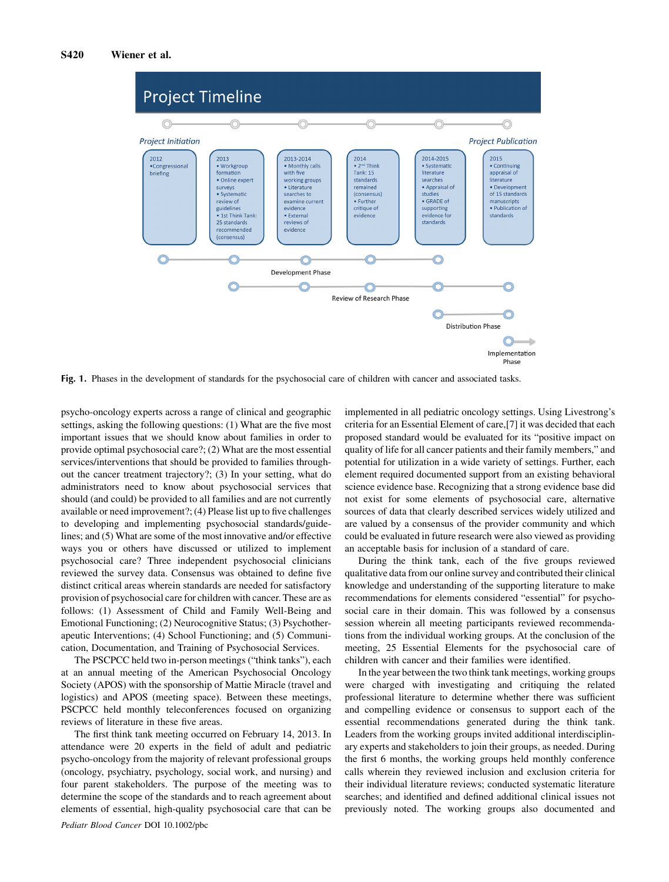

Fig. 1. Phases in the development of standards for the psychosocial care of children with cancer and associated tasks.

psycho-oncology experts across a range of clinical and geographic settings, asking the following questions: (1) What are the five most important issues that we should know about families in order to provide optimal psychosocial care?; (2) What are the most essential services/interventions that should be provided to families throughout the cancer treatment trajectory?; (3) In your setting, what do administrators need to know about psychosocial services that should (and could) be provided to all families and are not currently available or need improvement?; (4) Please list up to five challenges to developing and implementing psychosocial standards/guidelines; and (5) What are some of the most innovative and/or effective ways you or others have discussed or utilized to implement psychosocial care? Three independent psychosocial clinicians reviewed the survey data. Consensus was obtained to define five distinct critical areas wherein standards are needed for satisfactory provision of psychosocial care for children with cancer. These are as follows: (1) Assessment of Child and Family Well-Being and Emotional Functioning; (2) Neurocognitive Status; (3) Psychotherapeutic Interventions; (4) School Functioning; and (5) Communication, Documentation, and Training of Psychosocial Services.

The PSCPCC held two in-person meetings ("think tanks"), each at an annual meeting of the American Psychosocial Oncology Society (APOS) with the sponsorship of Mattie Miracle (travel and logistics) and APOS (meeting space). Between these meetings, PSCPCC held monthly teleconferences focused on organizing reviews of literature in these five areas.

The first think tank meeting occurred on February 14, 2013. In attendance were 20 experts in the field of adult and pediatric psycho-oncology from the majority of relevant professional groups (oncology, psychiatry, psychology, social work, and nursing) and four parent stakeholders. The purpose of the meeting was to determine the scope of the standards and to reach agreement about elements of essential, high-quality psychosocial care that can be

Pediatr Blood Cancer DOI 10.1002/pbc

implemented in all pediatric oncology settings. Using Livestrong's criteria for an Essential Element of care,[7] it was decided that each proposed standard would be evaluated for its "positive impact on quality of life for all cancer patients and their family members," and potential for utilization in a wide variety of settings. Further, each element required documented support from an existing behavioral science evidence base. Recognizing that a strong evidence base did not exist for some elements of psychosocial care, alternative sources of data that clearly described services widely utilized and are valued by a consensus of the provider community and which could be evaluated in future research were also viewed as providing an acceptable basis for inclusion of a standard of care.

During the think tank, each of the five groups reviewed qualitative data from our online survey and contributed their clinical knowledge and understanding of the supporting literature to make recommendations for elements considered "essential" for psychosocial care in their domain. This was followed by a consensus session wherein all meeting participants reviewed recommendations from the individual working groups. At the conclusion of the meeting, 25 Essential Elements for the psychosocial care of children with cancer and their families were identified.

In the year between the two think tank meetings, working groups were charged with investigating and critiquing the related professional literature to determine whether there was sufficient and compelling evidence or consensus to support each of the essential recommendations generated during the think tank. Leaders from the working groups invited additional interdisciplinary experts and stakeholders to join their groups, as needed. During the first 6 months, the working groups held monthly conference calls wherein they reviewed inclusion and exclusion criteria for their individual literature reviews; conducted systematic literature searches; and identified and defined additional clinical issues not previously noted. The working groups also documented and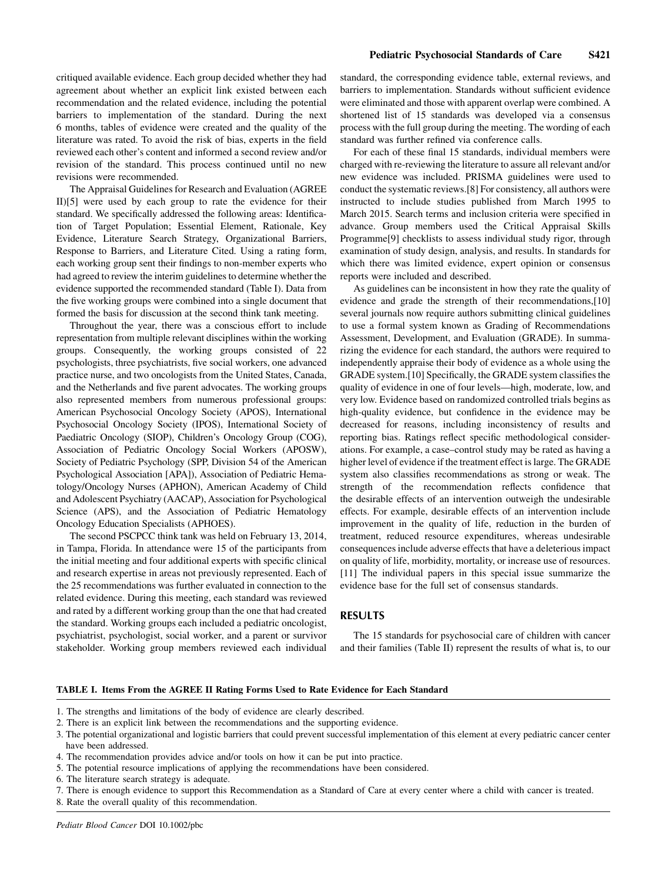critiqued available evidence. Each group decided whether they had agreement about whether an explicit link existed between each recommendation and the related evidence, including the potential barriers to implementation of the standard. During the next 6 months, tables of evidence were created and the quality of the literature was rated. To avoid the risk of bias, experts in the field reviewed each other's content and informed a second review and/or revision of the standard. This process continued until no new revisions were recommended.

The Appraisal Guidelines for Research and Evaluation (AGREE II)[5] were used by each group to rate the evidence for their standard. We specifically addressed the following areas: Identification of Target Population; Essential Element, Rationale, Key Evidence, Literature Search Strategy, Organizational Barriers, Response to Barriers, and Literature Cited. Using a rating form, each working group sent their findings to non-member experts who had agreed to review the interim guidelines to determine whether the evidence supported the recommended standard (Table I). Data from the five working groups were combined into a single document that formed the basis for discussion at the second think tank meeting.

Throughout the year, there was a conscious effort to include representation from multiple relevant disciplines within the working groups. Consequently, the working groups consisted of 22 psychologists, three psychiatrists, five social workers, one advanced practice nurse, and two oncologists from the United States, Canada, and the Netherlands and five parent advocates. The working groups also represented members from numerous professional groups: American Psychosocial Oncology Society (APOS), International Psychosocial Oncology Society (IPOS), International Society of Paediatric Oncology (SIOP), Children's Oncology Group (COG), Association of Pediatric Oncology Social Workers (APOSW), Society of Pediatric Psychology (SPP, Division 54 of the American Psychological Association [APA]), Association of Pediatric Hematology/Oncology Nurses (APHON), American Academy of Child and Adolescent Psychiatry (AACAP), Association for Psychological Science (APS), and the Association of Pediatric Hematology Oncology Education Specialists (APHOES).

The second PSCPCC think tank was held on February 13, 2014, in Tampa, Florida. In attendance were 15 of the participants from the initial meeting and four additional experts with specific clinical and research expertise in areas not previously represented. Each of the 25 recommendations was further evaluated in connection to the related evidence. During this meeting, each standard was reviewed and rated by a different working group than the one that had created the standard. Working groups each included a pediatric oncologist, psychiatrist, psychologist, social worker, and a parent or survivor stakeholder. Working group members reviewed each individual standard, the corresponding evidence table, external reviews, and barriers to implementation. Standards without sufficient evidence were eliminated and those with apparent overlap were combined. A shortened list of 15 standards was developed via a consensus process with the full group during the meeting. The wording of each standard was further refined via conference calls.

For each of these final 15 standards, individual members were charged with re-reviewing the literature to assure all relevant and/or new evidence was included. PRISMA guidelines were used to conduct the systematic reviews.[8] For consistency, all authors were instructed to include studies published from March 1995 to March 2015. Search terms and inclusion criteria were specified in advance. Group members used the Critical Appraisal Skills Programme[9] checklists to assess individual study rigor, through examination of study design, analysis, and results. In standards for which there was limited evidence, expert opinion or consensus reports were included and described.

As guidelines can be inconsistent in how they rate the quality of evidence and grade the strength of their recommendations,[10] several journals now require authors submitting clinical guidelines to use a formal system known as Grading of Recommendations Assessment, Development, and Evaluation (GRADE). In summarizing the evidence for each standard, the authors were required to independently appraise their body of evidence as a whole using the GRADE system.[10] Specifically, the GRADE system classifies the quality of evidence in one of four levels—high, moderate, low, and very low. Evidence based on randomized controlled trials begins as high-quality evidence, but confidence in the evidence may be decreased for reasons, including inconsistency of results and reporting bias. Ratings reflect specific methodological considerations. For example, a case–control study may be rated as having a higher level of evidence if the treatment effect is large. The GRADE system also classifies recommendations as strong or weak. The strength of the recommendation reflects confidence that the desirable effects of an intervention outweigh the undesirable effects. For example, desirable effects of an intervention include improvement in the quality of life, reduction in the burden of treatment, reduced resource expenditures, whereas undesirable consequences include adverse effects that have a deleterious impact on quality of life, morbidity, mortality, or increase use of resources. [11] The individual papers in this special issue summarize the evidence base for the full set of consensus standards.

# RESULTS

The 15 standards for psychosocial care of children with cancer and their families (Table II) represent the results of what is, to our

#### TABLE I. Items From the AGREE II Rating Forms Used to Rate Evidence for Each Standard

- 1. The strengths and limitations of the body of evidence are clearly described.
- 2. There is an explicit link between the recommendations and the supporting evidence.
- 3. The potential organizational and logistic barriers that could prevent successful implementation of this element at every pediatric cancer center have been addressed.
- 4. The recommendation provides advice and/or tools on how it can be put into practice.
- 5. The potential resource implications of applying the recommendations have been considered.
- 6. The literature search strategy is adequate.
- 7. There is enough evidence to support this Recommendation as a Standard of Care at every center where a child with cancer is treated.
- 8. Rate the overall quality of this recommendation.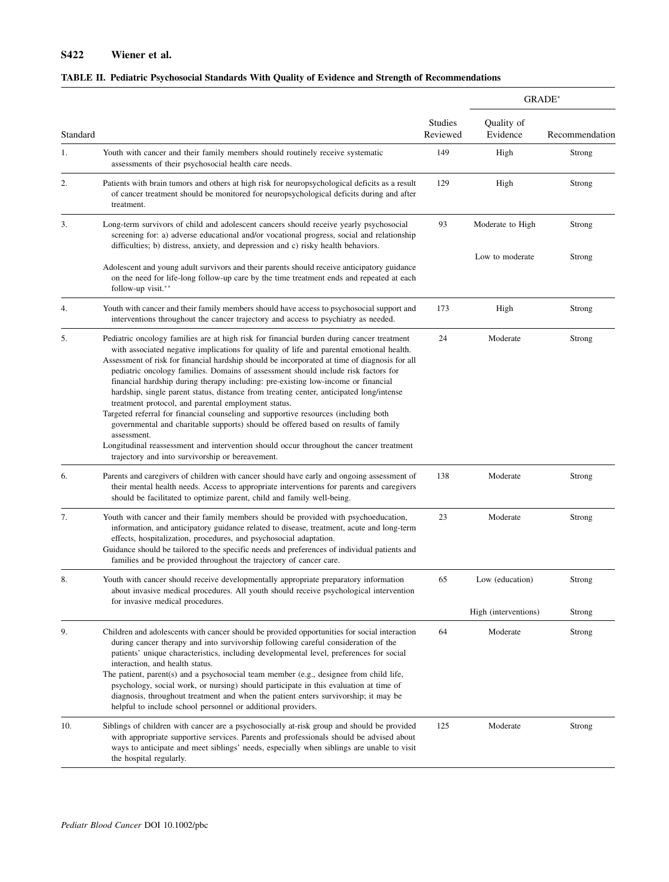| Standard |                                                                                                                                                                                                                                                                                                                                                                                                                                                                                                                                                                                                                                                                                                                                                                                                                                                                                                                                                                | <b>Studies</b><br>Reviewed | GRADE*                 |                |
|----------|----------------------------------------------------------------------------------------------------------------------------------------------------------------------------------------------------------------------------------------------------------------------------------------------------------------------------------------------------------------------------------------------------------------------------------------------------------------------------------------------------------------------------------------------------------------------------------------------------------------------------------------------------------------------------------------------------------------------------------------------------------------------------------------------------------------------------------------------------------------------------------------------------------------------------------------------------------------|----------------------------|------------------------|----------------|
|          |                                                                                                                                                                                                                                                                                                                                                                                                                                                                                                                                                                                                                                                                                                                                                                                                                                                                                                                                                                |                            | Quality of<br>Evidence | Recommendation |
| 1.       | Youth with cancer and their family members should routinely receive systematic<br>assessments of their psychosocial health care needs.                                                                                                                                                                                                                                                                                                                                                                                                                                                                                                                                                                                                                                                                                                                                                                                                                         | 149                        | High                   | Strong         |
| 2.       | Patients with brain tumors and others at high risk for neuropsychological deficits as a result<br>of cancer treatment should be monitored for neuropsychological deficits during and after<br>treatment.                                                                                                                                                                                                                                                                                                                                                                                                                                                                                                                                                                                                                                                                                                                                                       | 129                        | High                   | Strong         |
| 3.       | Long-term survivors of child and adolescent cancers should receive yearly psychosocial<br>screening for: a) adverse educational and/or vocational progress, social and relationship<br>difficulties; b) distress, anxiety, and depression and c) risky health behaviors.                                                                                                                                                                                                                                                                                                                                                                                                                                                                                                                                                                                                                                                                                       | 93                         | Moderate to High       | Strong         |
|          | Adolescent and young adult survivors and their parents should receive anticipatory guidance<br>on the need for life-long follow-up care by the time treatment ends and repeated at each<br>follow-up visit.**                                                                                                                                                                                                                                                                                                                                                                                                                                                                                                                                                                                                                                                                                                                                                  |                            | Low to moderate        | Strong         |
| 4.       | Youth with cancer and their family members should have access to psychosocial support and<br>interventions throughout the cancer trajectory and access to psychiatry as needed.                                                                                                                                                                                                                                                                                                                                                                                                                                                                                                                                                                                                                                                                                                                                                                                | 173                        | High                   | Strong         |
| 5.       | Pediatric oncology families are at high risk for financial burden during cancer treatment<br>with associated negative implications for quality of life and parental emotional health.<br>Assessment of risk for financial hardship should be incorporated at time of diagnosis for all<br>pediatric oncology families. Domains of assessment should include risk factors for<br>financial hardship during therapy including: pre-existing low-income or financial<br>hardship, single parent status, distance from treating center, anticipated long/intense<br>treatment protocol, and parental employment status.<br>Targeted referral for financial counseling and supportive resources (including both<br>governmental and charitable supports) should be offered based on results of family<br>assessment.<br>Longitudinal reassessment and intervention should occur throughout the cancer treatment<br>trajectory and into survivorship or bereavement. | 24                         | Moderate               | Strong         |
| 6.       | Parents and caregivers of children with cancer should have early and ongoing assessment of<br>their mental health needs. Access to appropriate interventions for parents and caregivers<br>should be facilitated to optimize parent, child and family well-being.                                                                                                                                                                                                                                                                                                                                                                                                                                                                                                                                                                                                                                                                                              | 138                        | Moderate               | Strong         |
| 7.       | Youth with cancer and their family members should be provided with psychoeducation,<br>information, and anticipatory guidance related to disease, treatment, acute and long-term<br>effects, hospitalization, procedures, and psychosocial adaptation.<br>Guidance should be tailored to the specific needs and preferences of individual patients and<br>families and be provided throughout the trajectory of cancer care.                                                                                                                                                                                                                                                                                                                                                                                                                                                                                                                                   | 23                         | Moderate               | Strong         |
| 8.       | Youth with cancer should receive developmentally appropriate preparatory information<br>about invasive medical procedures. All youth should receive psychological intervention<br>for invasive medical procedures.                                                                                                                                                                                                                                                                                                                                                                                                                                                                                                                                                                                                                                                                                                                                             | 65                         | Low (education)        | Strong         |
|          |                                                                                                                                                                                                                                                                                                                                                                                                                                                                                                                                                                                                                                                                                                                                                                                                                                                                                                                                                                |                            | High (interventions)   | Strong         |
| 9.       | Children and adolescents with cancer should be provided opportunities for social interaction<br>during cancer therapy and into survivorship following careful consideration of the<br>patients' unique characteristics, including developmental level, preferences for social<br>interaction, and health status.<br>The patient, parent(s) and a psychosocial team member (e.g., designee from child life,<br>psychology, social work, or nursing) should participate in this evaluation at time of<br>diagnosis, throughout treatment and when the patient enters survivorship; it may be<br>helpful to include school personnel or additional providers.                                                                                                                                                                                                                                                                                                     | 64                         | Moderate               | Strong         |
| 10.      | Siblings of children with cancer are a psychosocially at-risk group and should be provided<br>with appropriate supportive services. Parents and professionals should be advised about<br>ways to anticipate and meet siblings' needs, especially when siblings are unable to visit<br>the hospital regularly.                                                                                                                                                                                                                                                                                                                                                                                                                                                                                                                                                                                                                                                  | 125                        | Moderate               | Strong         |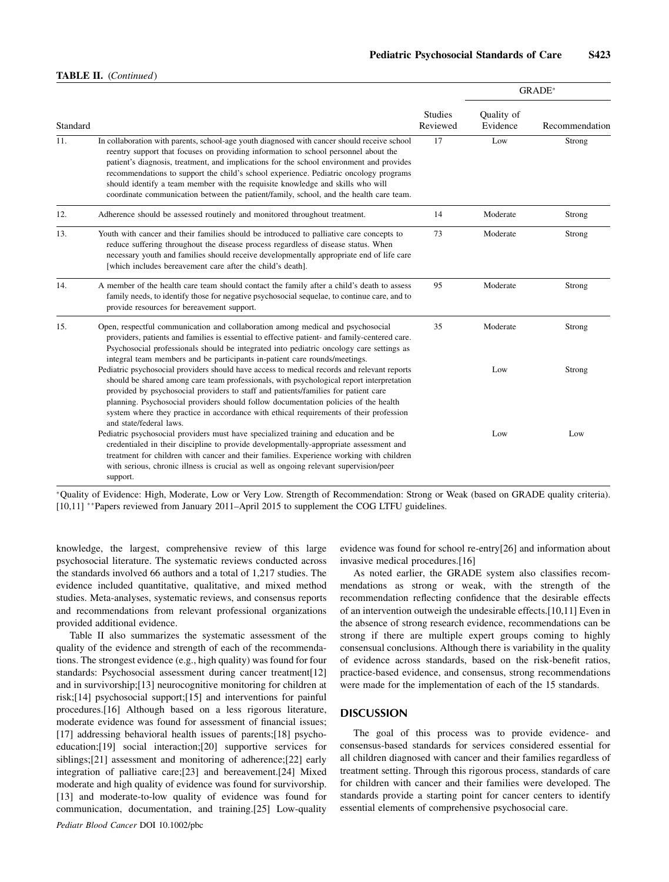#### TABLE II. (Continued)

| Standard |                                                                                                                                                                                                                                                                                                                                                                                                                                                                                                                                                     |                            | GRADE*                 |                |
|----------|-----------------------------------------------------------------------------------------------------------------------------------------------------------------------------------------------------------------------------------------------------------------------------------------------------------------------------------------------------------------------------------------------------------------------------------------------------------------------------------------------------------------------------------------------------|----------------------------|------------------------|----------------|
|          |                                                                                                                                                                                                                                                                                                                                                                                                                                                                                                                                                     | <b>Studies</b><br>Reviewed | Quality of<br>Evidence | Recommendation |
| 11.      | In collaboration with parents, school-age youth diagnosed with cancer should receive school<br>reentry support that focuses on providing information to school personnel about the<br>patient's diagnosis, treatment, and implications for the school environment and provides<br>recommendations to support the child's school experience. Pediatric oncology programs<br>should identify a team member with the requisite knowledge and skills who will<br>coordinate communication between the patient/family, school, and the health care team. | 17                         | Low                    | Strong         |
| 12.      | Adherence should be assessed routinely and monitored throughout treatment.                                                                                                                                                                                                                                                                                                                                                                                                                                                                          | 14                         | Moderate               | Strong         |
| 13.      | Youth with cancer and their families should be introduced to palliative care concepts to<br>reduce suffering throughout the disease process regardless of disease status. When<br>necessary youth and families should receive developmentally appropriate end of life care<br>[which includes bereavement care after the child's death].                                                                                                                                                                                                            | 73                         | Moderate               | Strong         |
| 14.      | A member of the health care team should contact the family after a child's death to assess<br>family needs, to identify those for negative psychosocial sequelae, to continue care, and to<br>provide resources for bereavement support.                                                                                                                                                                                                                                                                                                            | 95                         | Moderate               | Strong         |
| 15.      | Open, respectful communication and collaboration among medical and psychosocial<br>providers, patients and families is essential to effective patient- and family-centered care.<br>Psychosocial professionals should be integrated into pediatric oncology care settings as<br>integral team members and be participants in-patient care rounds/meetings.                                                                                                                                                                                          | 35                         | Moderate               | Strong         |
|          | Pediatric psychosocial providers should have access to medical records and relevant reports<br>should be shared among care team professionals, with psychological report interpretation<br>provided by psychosocial providers to staff and patients/families for patient care<br>planning. Psychosocial providers should follow documentation policies of the health<br>system where they practice in accordance with ethical requirements of their profession<br>and state/federal laws.                                                           |                            | Low                    | Strong         |
|          | Pediatric psychosocial providers must have specialized training and education and be<br>credentialed in their discipline to provide developmentally-appropriate assessment and<br>treatment for children with cancer and their families. Experience working with children<br>with serious, chronic illness is crucial as well as ongoing relevant supervision/peer<br>support.                                                                                                                                                                      |                            | Low                    | Low            |

Quality of Evidence: High, Moderate, Low or Very Low. Strength of Recommendation: Strong or Weak (based on GRADE quality criteria). [10,11] \*\* Papers reviewed from January 2011–April 2015 to supplement the COG LTFU guidelines.

knowledge, the largest, comprehensive review of this large psychosocial literature. The systematic reviews conducted across the standards involved 66 authors and a total of 1,217 studies. The evidence included quantitative, qualitative, and mixed method studies. Meta-analyses, systematic reviews, and consensus reports and recommendations from relevant professional organizations provided additional evidence.

Table II also summarizes the systematic assessment of the quality of the evidence and strength of each of the recommendations. The strongest evidence (e.g., high quality) was found for four standards: Psychosocial assessment during cancer treatment[12] and in survivorship;[13] neurocognitive monitoring for children at risk;[14] psychosocial support;[15] and interventions for painful procedures.[16] Although based on a less rigorous literature, moderate evidence was found for assessment of financial issues; [17] addressing behavioral health issues of parents;[18] psychoeducation;[19] social interaction;[20] supportive services for siblings;[21] assessment and monitoring of adherence;[22] early integration of palliative care;[23] and bereavement.[24] Mixed moderate and high quality of evidence was found for survivorship. [13] and moderate-to-low quality of evidence was found for communication, documentation, and training.[25] Low-quality

evidence was found for school re-entry[26] and information about invasive medical procedures.[16]

As noted earlier, the GRADE system also classifies recommendations as strong or weak, with the strength of the recommendation reflecting confidence that the desirable effects of an intervention outweigh the undesirable effects.[10,11] Even in the absence of strong research evidence, recommendations can be strong if there are multiple expert groups coming to highly consensual conclusions. Although there is variability in the quality of evidence across standards, based on the risk-benefit ratios, practice-based evidence, and consensus, strong recommendations were made for the implementation of each of the 15 standards.

## **DISCUSSION**

The goal of this process was to provide evidence- and consensus-based standards for services considered essential for all children diagnosed with cancer and their families regardless of treatment setting. Through this rigorous process, standards of care for children with cancer and their families were developed. The standards provide a starting point for cancer centers to identify essential elements of comprehensive psychosocial care.

Pediatr Blood Cancer DOI 10.1002/pbc